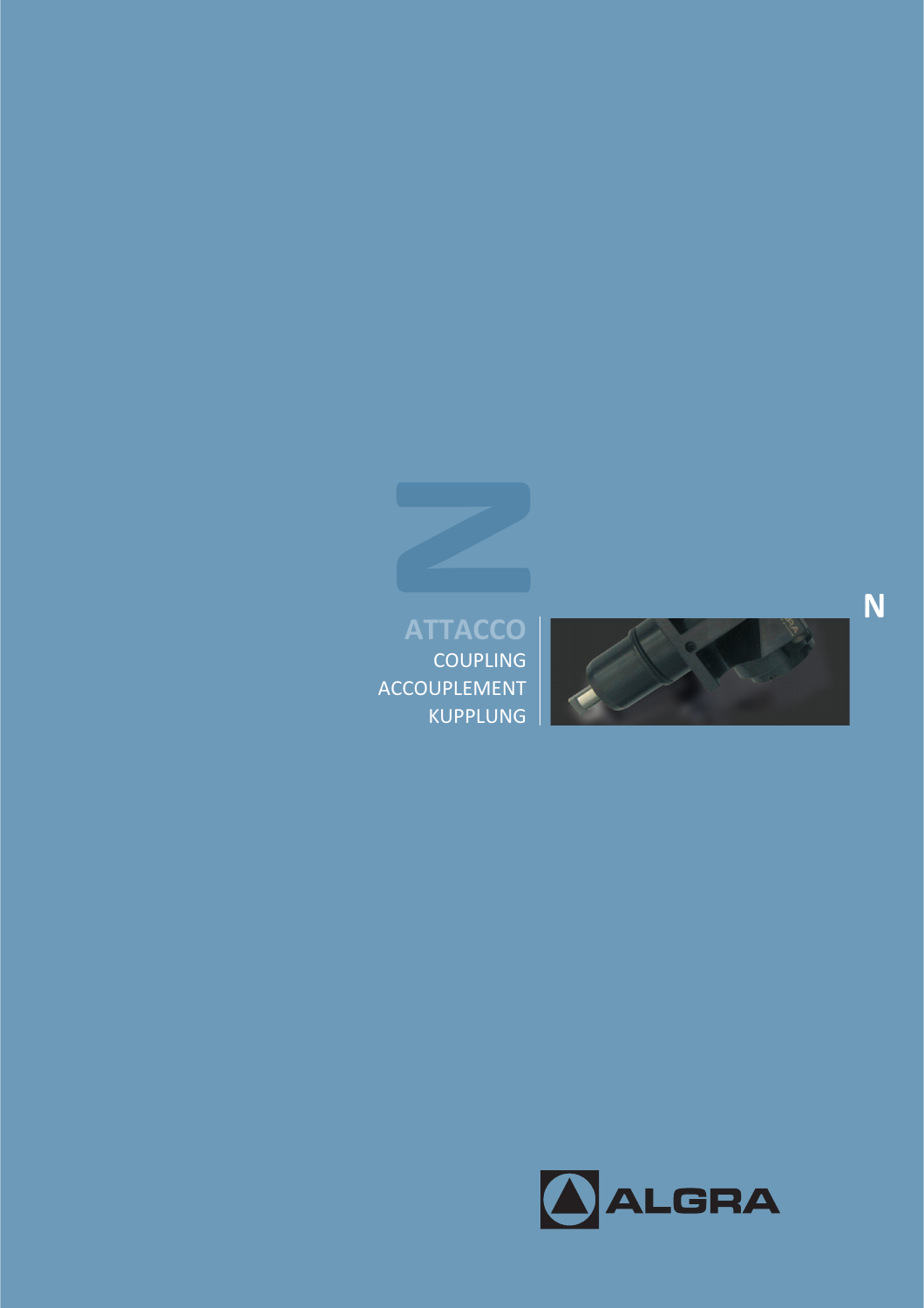

COUPLING ACCOUPLEMENT<br>KUPPLUNG **ATTACCO**<br>
COUPLING<br>
COUPLEMENT<br>
KUPPLUNG

**N**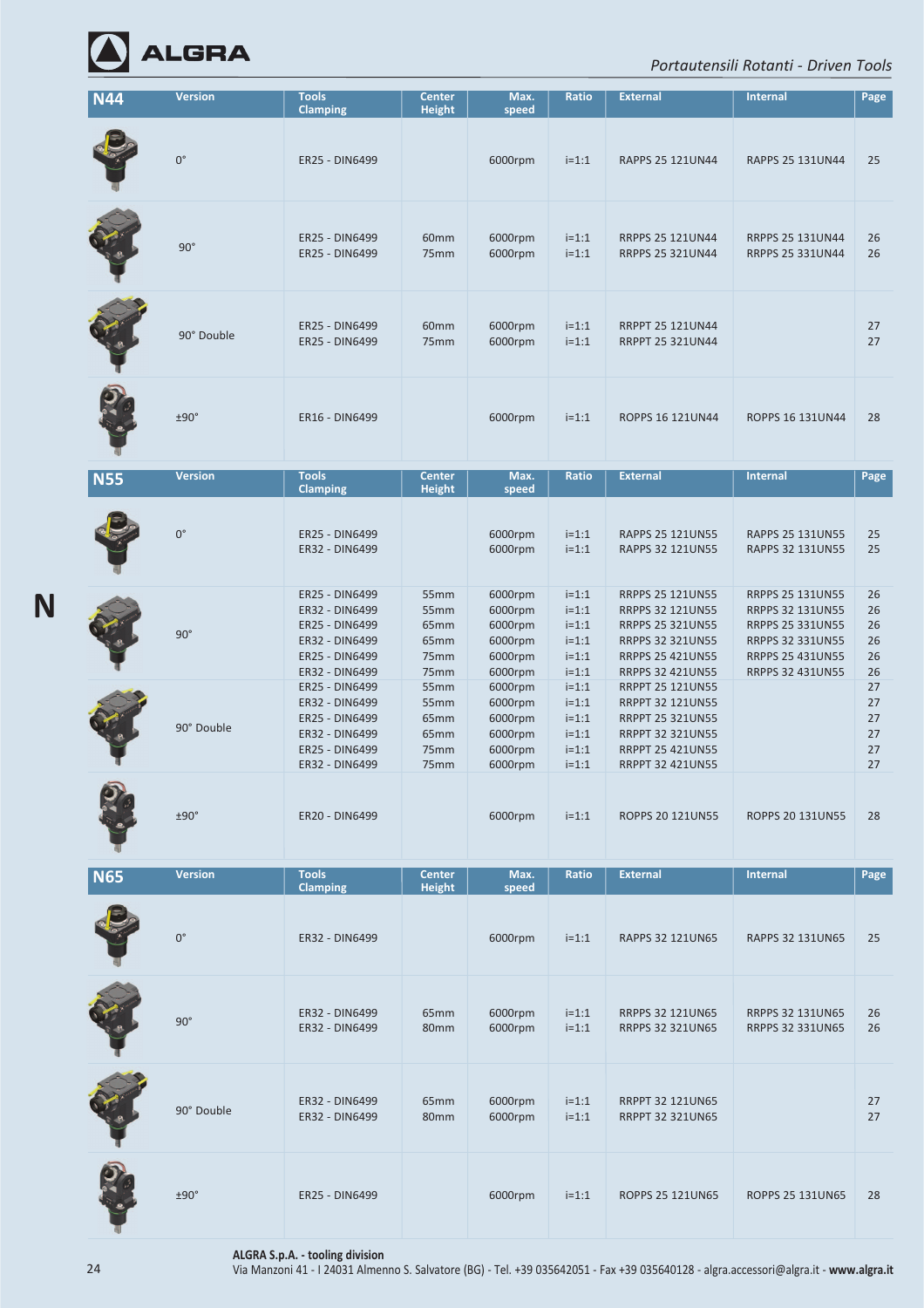

## *Portautensili Rotanti ‐ Driven Tools*

| <b>N44</b> | <b>Version</b> | <b>Tools</b>                                                                                             | <b>Center</b>                                | Max.                                                           | Ratio                                                          | <b>External</b>                                                                                                                                                | <b>Internal</b>                                                                                                                                  | Page                             |
|------------|----------------|----------------------------------------------------------------------------------------------------------|----------------------------------------------|----------------------------------------------------------------|----------------------------------------------------------------|----------------------------------------------------------------------------------------------------------------------------------------------------------------|--------------------------------------------------------------------------------------------------------------------------------------------------|----------------------------------|
|            |                | <b>Clamping</b>                                                                                          | <b>Height</b>                                | speed                                                          |                                                                |                                                                                                                                                                |                                                                                                                                                  |                                  |
|            | $0^{\circ}$    | ER25 - DIN6499                                                                                           |                                              | 6000rpm                                                        | $i=1:1$                                                        | RAPPS 25 121UN44                                                                                                                                               | RAPPS 25 131UN44                                                                                                                                 | 25                               |
|            | $90^\circ$     | ER25 - DIN6499<br>ER25 - DIN6499                                                                         | 60mm<br>75mm                                 | 6000rpm<br>6000rpm                                             | $i=1:1$<br>$i=1:1$                                             | <b>RRPPS 25 121UN44</b><br><b>RRPPS 25 321UN44</b>                                                                                                             | <b>RRPPS 25 131UN44</b><br><b>RRPPS 25 331UN44</b>                                                                                               | 26<br>26                         |
|            | 90° Double     | ER25 - DIN6499<br>ER25 - DIN6499                                                                         | 60mm<br>75mm                                 | 6000rpm<br>6000rpm                                             | $i=1:1$<br>$i=1:1$                                             | <b>RRPPT 25 121UN44</b><br><b>RRPPT 25 321UN44</b>                                                                                                             |                                                                                                                                                  | 27<br>27                         |
|            | ±90°           | ER16 - DIN6499                                                                                           |                                              | 6000rpm                                                        | $i=1:1$                                                        | <b>ROPPS 16 121UN44</b>                                                                                                                                        | ROPPS 16 131UN44                                                                                                                                 | 28                               |
| <b>N55</b> | <b>Version</b> | <b>Tools</b>                                                                                             | <b>Center</b>                                | Max.                                                           | Ratio                                                          | <b>External</b>                                                                                                                                                | <b>Internal</b>                                                                                                                                  | Page                             |
|            | $0^{\circ}$    | <b>Clamping</b><br>ER25 - DIN6499<br>ER32 - DIN6499                                                      | <b>Height</b>                                | speed<br>6000rpm<br>6000rpm                                    | $i=1:1$<br>$i=1:1$                                             | RAPPS 25 121UN55<br>RAPPS 32 121UN55                                                                                                                           | RAPPS 25 131UN55<br>RAPPS 32 131UN55                                                                                                             | 25<br>25                         |
|            | $90^\circ$     | ER25 - DIN6499<br>ER32 - DIN6499<br>ER25 - DIN6499<br>ER32 - DIN6499<br>ER25 - DIN6499<br>ER32 - DIN6499 | 55mm<br>55mm<br>65mm<br>65mm<br>75mm<br>75mm | 6000rpm<br>6000rpm<br>6000rpm<br>6000rpm<br>6000rpm<br>6000rpm | $i=1:1$<br>$i=1:1$<br>$i=1:1$<br>$i=1:1$<br>$i=1:1$<br>$i=1:1$ | RRPPS 25 121UN55<br><b>RRPPS 32 121UN55</b><br><b>RRPPS 25 321UN55</b><br><b>RRPPS 32 321UN55</b><br><b>RRPPS 25 421UN55</b><br><b>RRPPS 32 421UN55</b>        | RRPPS 25 131UN55<br><b>RRPPS 32 131UN55</b><br><b>RRPPS 25 331UN55</b><br>RRPPS 32 331UN55<br><b>RRPPS 25 431UN55</b><br><b>RRPPS 32 431UN55</b> | 26<br>26<br>26<br>26<br>26<br>26 |
|            | 90° Double     | ER25 - DIN6499<br>ER32 - DIN6499<br>ER25 - DIN6499<br>ER32 - DIN6499<br>ER25 - DIN6499<br>ER32 - DIN6499 | 55mm<br>55mm<br>65mm<br>65mm<br>75mm<br>75mm | 6000rpm<br>6000rpm<br>6000rpm<br>6000rpm<br>6000rpm<br>6000rpm | $i=1:1$<br>$i=1:1$<br>$i=1:1$<br>$i=1:1$<br>$i=1:1$<br>$i=1:1$ | <b>RRPPT 25 121UN55</b><br><b>RRPPT 32 121UN55</b><br><b>RRPPT 25 321UN55</b><br><b>RRPPT 32 321UN55</b><br><b>RRPPT 25 421UN55</b><br><b>RRPPT 32 421UN55</b> |                                                                                                                                                  | 27<br>27<br>27<br>27<br>27<br>27 |
|            | ±90°           | ER20 - DIN6499                                                                                           |                                              | 6000rpm                                                        | $i=1:1$                                                        | <b>ROPPS 20 121UN55</b>                                                                                                                                        | ROPPS 20 131UN55                                                                                                                                 | 28                               |
| <b>N65</b> | <b>Version</b> | <b>Tools</b><br><b>Clamping</b>                                                                          | <b>Center</b><br><b>Height</b>               | Max.<br>speed                                                  | Ratio                                                          | <b>External</b>                                                                                                                                                | <b>Internal</b>                                                                                                                                  | Page                             |
|            | $0^{\circ}$    | ER32 - DIN6499                                                                                           |                                              | 6000rpm                                                        | $i=1:1$                                                        | RAPPS 32 121UN65                                                                                                                                               | RAPPS 32 131UN65                                                                                                                                 | 25                               |
|            | $90^\circ$     | ER32 - DIN6499<br>ER32 - DIN6499                                                                         | 65mm<br>80mm                                 | 6000rpm<br>6000rpm                                             | $i=1:1$<br>$i=1:1$                                             | <b>RRPPS 32 121UN65</b><br><b>RRPPS 32 321UN65</b>                                                                                                             | RRPPS 32 131UN65<br><b>RRPPS 32 331UN65</b>                                                                                                      | 26<br>26                         |
|            | 90° Double     | ER32 - DIN6499<br>ER32 - DIN6499                                                                         | 65mm<br>80mm                                 | 6000rpm<br>6000rpm                                             | $i=1:1$<br>$i=1:1$                                             | <b>RRPPT 32 121UN65</b><br><b>RRPPT 32 321UN65</b>                                                                                                             |                                                                                                                                                  | 27<br>27                         |
|            | ±90°           | ER25 - DIN6499                                                                                           |                                              | 6000rpm                                                        | $i=1:1$                                                        | ROPPS 25 121UN65                                                                                                                                               | ROPPS 25 131UN65                                                                                                                                 | 28                               |

**ALGRA S.p.A. ‐ tooling division**

**N**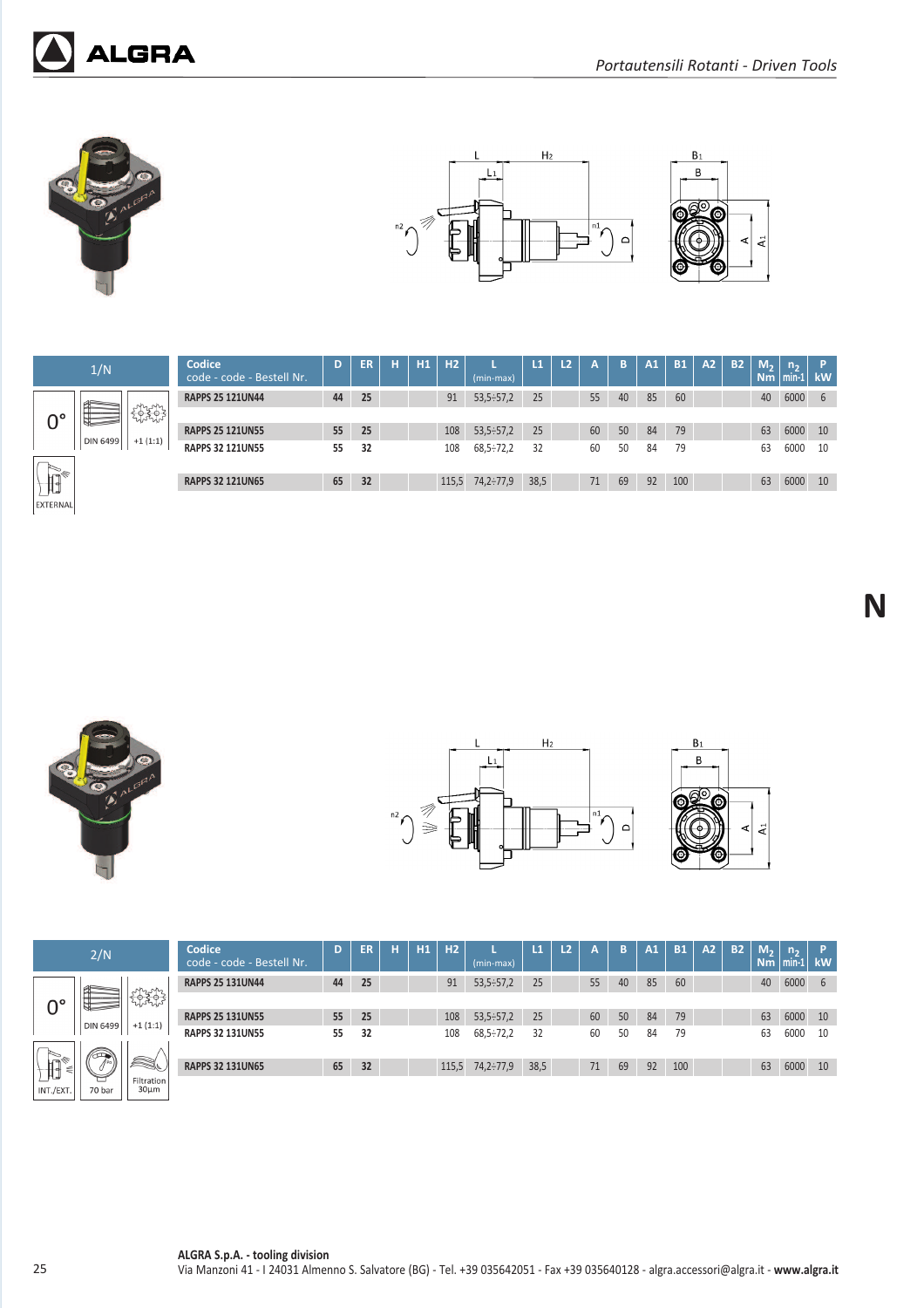









EXTERNAL

|        | Codice<br>code - code - Bestell Nr. | D  | ER | н | H1 | H2  | $(min-max)$              | L1   | L <sub>2</sub> | A  | B  | A1 | <b>B1</b> | A2 | <b>B2</b> | M <sub>2</sub><br><b>Nm</b> | n,<br>min-1 | Þ<br><b>kW</b> |
|--------|-------------------------------------|----|----|---|----|-----|--------------------------|------|----------------|----|----|----|-----------|----|-----------|-----------------------------|-------------|----------------|
|        | <b>RAPPS 25 121UN44</b>             | 44 | 25 |   |    | 91  | 53,5:57,2                | 25   |                | 55 | 40 | 85 | 60        |    |           | 40                          | 6000        | 6              |
| nenne  | <b>RAPPS 25 121UN55</b>             | 55 | 25 |   |    | 108 | 53,5:57,2                | 25   |                | 60 | 50 | 84 | 79        |    |           | 63                          | 6000        | 10             |
| 1(1:1) | <b>RAPPS 32 121UN55</b>             | 55 | 32 |   |    | 108 | $68,5 \div 72,2$         | 32   |                | 60 | 50 | 84 | 79        |    |           | 63                          | 6000        | 10             |
|        | <b>RAPPS 32 121UN65</b>             | 65 | 32 |   |    |     | $115,5$ $74,2 \div 77,9$ | 38,5 |                | 71 | 69 | 92 | 100       |    |           | 63                          | 6000        | 10             |







**N**

|                                                                                                                                                                                                                                                                                                                                                               | 2/N                          |                          | Codice<br>code - code - Bestell Nr. | D  | ER | н | H1 | H <sub>2</sub> | (min-max)        | L1   | L <sub>2</sub> | A  | B  | A1 | <b>B1</b> | A <sub>2</sub> | <b>B2</b> | M <sub>2</sub><br>N <sub>m</sub> | n <sub>2</sub><br>$\mathsf{min}$ . | ۱P.<br>kW |
|---------------------------------------------------------------------------------------------------------------------------------------------------------------------------------------------------------------------------------------------------------------------------------------------------------------------------------------------------------------|------------------------------|--------------------------|-------------------------------------|----|----|---|----|----------------|------------------|------|----------------|----|----|----|-----------|----------------|-----------|----------------------------------|------------------------------------|-----------|
|                                                                                                                                                                                                                                                                                                                                                               |                              |                          | <b>RAPPS 25 131UN44</b>             | 44 | 25 |   |    | 91             | $53,5-57,2$      | 25   |                | 55 | 40 | 85 | 60        |                |           | 40                               | 6000                               | 6         |
| 0°                                                                                                                                                                                                                                                                                                                                                            |                              | $\frac{1}{2}$            |                                     |    |    |   |    |                |                  |      |                |    |    |    |           |                |           |                                  |                                    |           |
|                                                                                                                                                                                                                                                                                                                                                               | <b>DIN 6499</b>              | $+1(1:1)$                | <b>RAPPS 25 131UN55</b>             | 55 | 25 |   |    | 108            | $53,5-57,2$      | 25   |                | 60 | 50 | 84 | 79        |                |           | 63                               | 6000                               | 10        |
|                                                                                                                                                                                                                                                                                                                                                               |                              |                          | <b>RAPPS 32 131UN55</b>             | 55 | 32 |   |    | 108            | $68,5 \div 72,2$ | 32   |                | 60 | 50 | 84 | 79        |                |           | 63                               | 6000                               | 10        |
|                                                                                                                                                                                                                                                                                                                                                               | $\left\langle \right\rangle$ |                          |                                     |    |    |   |    |                |                  |      |                |    |    |    |           |                |           |                                  |                                    |           |
| $\begin{picture}(120,110) \put(0,0){\line(1,0){10}} \put(15,0){\line(1,0){10}} \put(15,0){\line(1,0){10}} \put(15,0){\line(1,0){10}} \put(15,0){\line(1,0){10}} \put(15,0){\line(1,0){10}} \put(15,0){\line(1,0){10}} \put(15,0){\line(1,0){10}} \put(15,0){\line(1,0){10}} \put(15,0){\line(1,0){10}} \put(15,0){\line(1,0){10}} \put(15,0){\line$<br>$\leq$ |                              | a (                      | <b>RAPPS 32 131UN65</b>             | 65 | 32 |   |    | 115,5          | 74,2÷77,9        | 38,5 |                | 71 | 69 | 92 | 100       |                |           | 63                               | 6000                               | 10        |
| INT./EXT.                                                                                                                                                                                                                                                                                                                                                     | ᄂ<br>70 bar                  | Filtration<br>$30 \mu m$ |                                     |    |    |   |    |                |                  |      |                |    |    |    |           |                |           |                                  |                                    |           |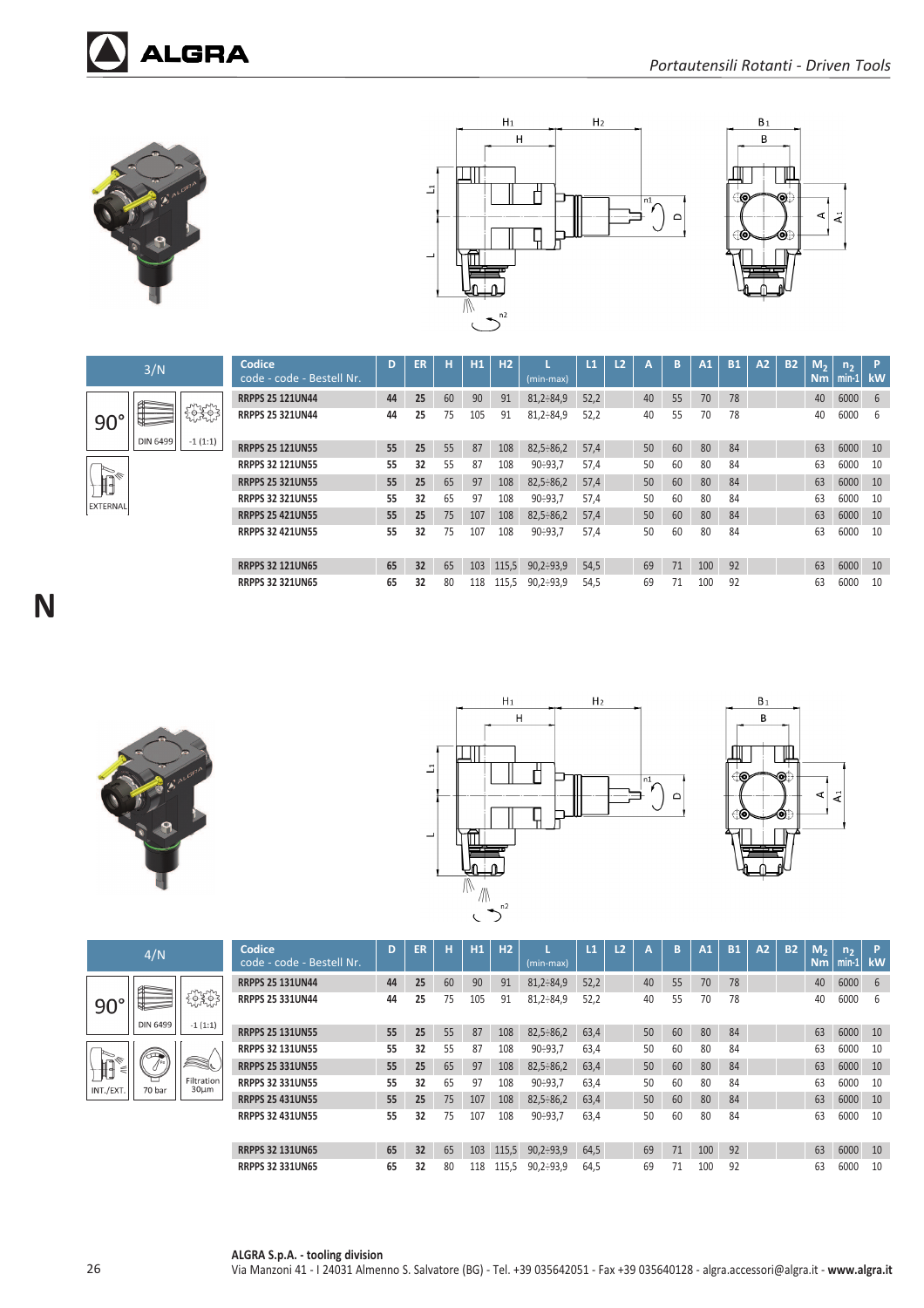

E

**DIN 6499** 

 $90^\circ$ 

 $\sqrt{d}$ EXTERNAL **ALGRA** 





| 3/N                                                                                                                                                                                                                                                                                                                                                                                                                             | Codice<br>code - code - Bestell Nr. | D  | <b>ER</b> | н  | H1  | H <sub>2</sub> | $(min-max)$      | $\mathbf{L}$ | L <sub>2</sub> | А  | B  | A1  | <b>B1</b> | A2 | <b>B2</b> | M <sub>2</sub><br>Nm | n <sub>2</sub><br>$min-1$ | P<br>kW |
|---------------------------------------------------------------------------------------------------------------------------------------------------------------------------------------------------------------------------------------------------------------------------------------------------------------------------------------------------------------------------------------------------------------------------------|-------------------------------------|----|-----------|----|-----|----------------|------------------|--------------|----------------|----|----|-----|-----------|----|-----------|----------------------|---------------------------|---------|
|                                                                                                                                                                                                                                                                                                                                                                                                                                 | <b>RRPPS 25 121UN44</b>             | 44 | 25        | 60 | 90  | 91             | $81,2-84,9$      | 52,2         |                | 40 | 55 | 70  | 78        |    |           | 40                   | 6000                      | -6      |
| $\begin{array}{c} \begin{array}{c} \text{1} \ \text{2} \ \text{3} \ \text{4} \ \text{5} \ \text{6} \ \text{7} \ \text{8} \ \text{7} \ \text{9} \ \text{1} \ \text{1} \ \text{1} \ \text{1} \ \text{2} \ \text{1} \ \text{2} \ \text{2} \ \text{2} \ \text{3} \ \text{4} \ \text{5} \ \text{6} \ \text{6} \ \text{7} \ \text{7} \ \text{8} \ \text{8} \ \text{9} \ \text{1} \ \text{1} \ \text{1} \ \text{2} \ \text{1} \ \text$ | <b>RRPPS 25 321UN44</b>             | 44 | 25        | 75 | 105 | 91             | $81,2 - 84,9$    | 52,2         |                | 40 | 55 | 70  | 78        |    |           | 40                   | 6000                      | 6       |
| IN 6499<br>$-1(1:1)$                                                                                                                                                                                                                                                                                                                                                                                                            | <b>RRPPS 25 121UN55</b>             | 55 | 25        | 55 | 87  | 108            | $82,5-86,2$      | 57,4         |                | 50 | 60 | 80  | 84        |    |           | 63                   | 6000                      | 10      |
|                                                                                                                                                                                                                                                                                                                                                                                                                                 | <b>RRPPS 32 121UN55</b>             | 55 | 32        | 55 | 87  | 108            | $90 - 93,7$      | 57,4         |                | 50 | 60 | 80  | 84        |    |           | 63                   | 6000                      | 10      |
|                                                                                                                                                                                                                                                                                                                                                                                                                                 | <b>RRPPS 25 321UN55</b>             | 55 | 25        | 65 | 97  | 108            | $82,5-86,2$      | 57,4         |                | 50 | 60 | 80  | 84        |    |           | 63                   | 6000                      | 10      |
|                                                                                                                                                                                                                                                                                                                                                                                                                                 | <b>RRPPS 32 321UN55</b>             | 55 | 32        | 65 | 97  | 108            | 90:93.7          | 57,4         |                | 50 | 60 | 80  | 84        |    |           | 63                   | 6000                      | 10      |
|                                                                                                                                                                                                                                                                                                                                                                                                                                 | <b>RRPPS 25 421UN55</b>             | 55 | 25        | 75 | 107 | 108            | $82,5-86,2$      | 57,4         |                | 50 | 60 | 80  | 84        |    |           | 63                   | 6000                      | 10      |
|                                                                                                                                                                                                                                                                                                                                                                                                                                 | <b>RRPPS 32 421UN55</b>             | 55 | 32        | 75 | 107 | 108            | $90 - 93.7$      | 57.4         |                | 50 | 60 | 80  | 84        |    |           | 63                   | 6000                      | 10      |
|                                                                                                                                                                                                                                                                                                                                                                                                                                 | <b>RRPPS 32 121UN65</b>             | 65 | 32        | 65 | 103 | 115.5          | $90.2 \div 93.9$ | 54,5         |                | 69 | 71 | 100 | 92        |    |           | 63                   | 6000                      | 10      |
|                                                                                                                                                                                                                                                                                                                                                                                                                                 | <b>RRPPS 32 321UN65</b>             | 65 | 32        | 80 | 118 | 115,5          | $90,2-93,9$      | 54.5         |                | 69 | 71 | 100 | 92        |    |           | 63                   | 6000                      | 10      |









| 4/N      |                          | Codice<br>code - code - Bestell Nr. | D  | ER | н  | H1  | H <sub>2</sub> | (min-max)        | L1   | L <sub>2</sub> | A  | B  | A1  | <b>B1</b> | A2 | <b>B2</b> | M <sub>2</sub><br>Nm | n <sub>2</sub><br>$min-1$ | D.<br>kW |
|----------|--------------------------|-------------------------------------|----|----|----|-----|----------------|------------------|------|----------------|----|----|-----|-----------|----|-----------|----------------------|---------------------------|----------|
|          |                          | <b>RRPPS 25 131UN44</b>             | 44 | 25 | 60 | 90  | 91             | $81,2 - 84,9$    | 52.2 |                | 40 | 55 | 70  | 78        |    |           | 40                   | 6000                      | 6        |
|          | १९ <b>३</b> ९३           | <b>RRPPS 25 331UN44</b>             | 44 | 25 | 75 | 105 | 91             | $81,2 - 84,9$    | 52,2 |                | 40 | 55 | 70  | 78        |    |           | 40                   | 6000                      | b        |
| DIN 6499 | $-1(1:1)$                | <b>RRPPS 25 131UN55</b>             | 55 | 25 | 55 | 87  | 108            | $82,5-86,2$      | 63,4 |                | 50 | 60 | 80  | 84        |    |           | 63                   | 6000                      | 10       |
| ☎        |                          | <b>RRPPS 32 131UN55</b>             | 55 | 32 | 55 | 87  | 108            | $90 - 93,7$      | 63,4 |                | 50 | 60 | 80  | 84        |    |           | 63                   | 6000                      | 10       |
| ∕∫ Pa    | í.                       | <b>RRPPS 25 331UN55</b>             | 55 | 25 | 65 | 97  | 108            | $82,5 \div 86,2$ | 63,4 |                | 50 | 60 | 80  | 84        |    |           | 63                   | 6000                      | 10       |
| 70 bar   | Filtration<br>$30 \mu m$ | <b>RRPPS 32 331UN55</b>             | 55 | 32 | 65 | 97  | 108            | $90 - 93.7$      | 63,4 |                | 50 | 60 | 80  | 84        |    |           | 63                   | 6000                      | 10       |
|          |                          | <b>RRPPS 25 431UN55</b>             | 55 | 25 | 75 | 107 | 108            | $82,5-86,2$      | 63,4 |                | 50 | 60 | 80  | 84        |    |           | 63                   | 6000                      | 10       |
|          |                          | <b>RRPPS 32 431UN55</b>             | 55 | 32 | 75 | 107 | 108            | $90 - 93,7$      | 63,4 |                | 50 | 60 | 80  | 84        |    |           | 63                   | 6000                      | 10       |
|          |                          | <b>RRPPS 32 131UN65</b>             | 65 | 32 | 65 | 103 | 115.5          | $90,2-93,9$      | 64,5 |                | 69 | 71 | 100 | 92        |    |           | 63                   | 6000                      | 10       |
|          |                          | <b>RRPPS 32 331UN65</b>             | 65 | 32 | 80 | 118 | 115,5          | $90,2 \div 93,9$ | 64.5 |                | 69 | 71 | 100 | 92        |    |           | 63                   | 6000                      | 10       |

 $90^\circ$ 

 $\begin{picture}(120,110) \put(0,0){\line(1,0){10}} \put(15,0){\line(1,0){10}} \put(15,0){\line(1,0){10}} \put(15,0){\line(1,0){10}} \put(15,0){\line(1,0){10}} \put(15,0){\line(1,0){10}} \put(15,0){\line(1,0){10}} \put(15,0){\line(1,0){10}} \put(15,0){\line(1,0){10}} \put(15,0){\line(1,0){10}} \put(15,0){\line(1,0){10}} \put(15,0){\line$  $INT./EXT$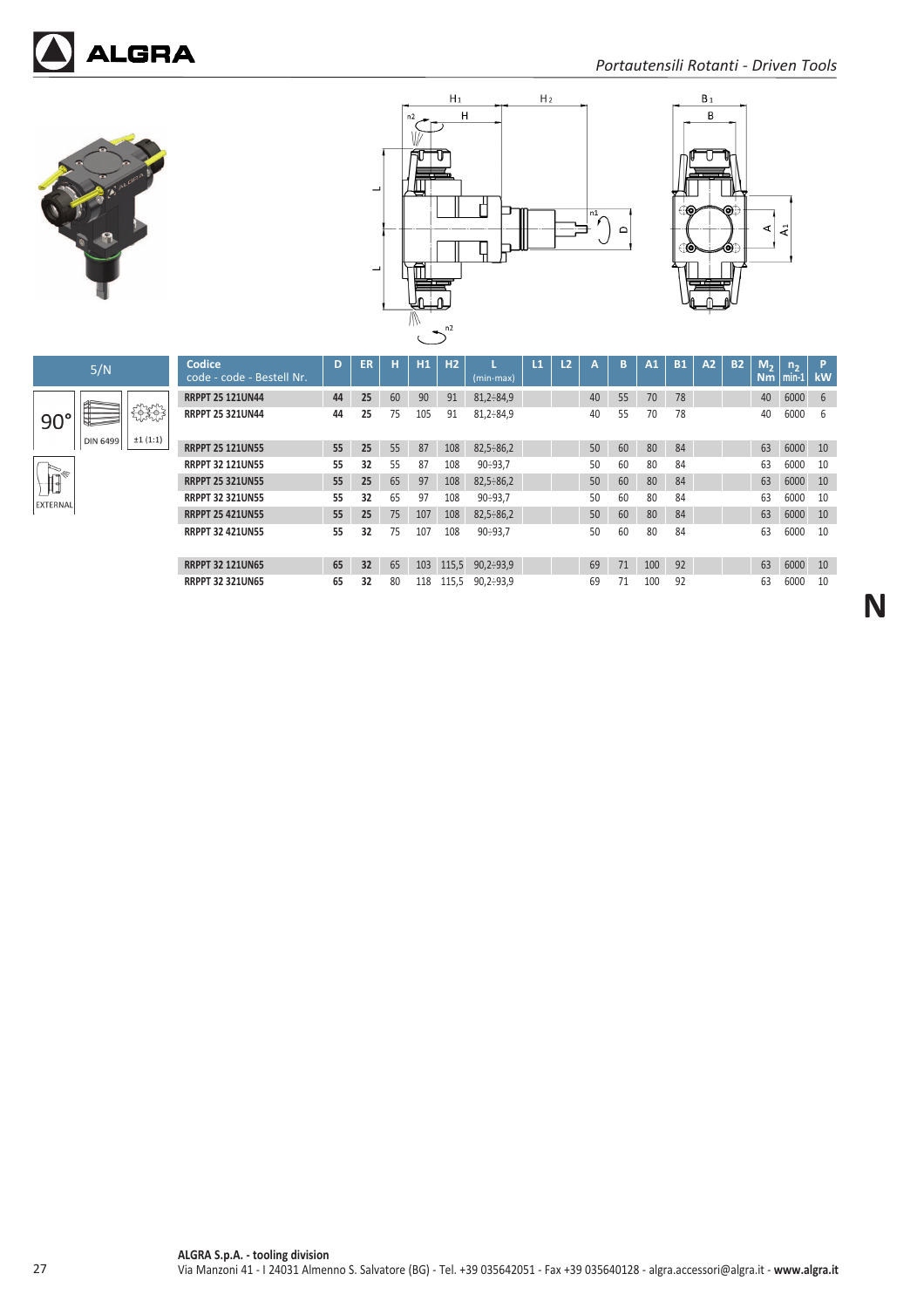







**N**



| Codice<br>code - code - Bestell Nr. | D  | ER | н  | H1  | H <sub>2</sub> | (min-max)        | $\overline{11}$ | L <sub>2</sub> | А  | B  | A1  | <b>B1</b> | A2 | <b>B2</b> | M <sub>2</sub><br>Nm | n <sub>2</sub><br>$min-1$ | P<br>kW |
|-------------------------------------|----|----|----|-----|----------------|------------------|-----------------|----------------|----|----|-----|-----------|----|-----------|----------------------|---------------------------|---------|
| <b>RRPPT 25 121UN44</b>             | 44 | 25 | 60 | 90  | 91             | $81,2-84,9$      |                 |                | 40 | 55 | 70  | 78        |    |           | 40                   | 6000                      | 6       |
| <b>RRPPT 25 321UN44</b>             | 44 | 25 | 75 | 105 | 91             | $81.2 \div 84.9$ |                 |                | 40 | 55 | 70  | 78        |    |           | 40                   | 6000                      | 6       |
| <b>RRPPT 25 121UN55</b>             | 55 | 25 | 55 | 87  | 108            | $82,5 \div 86,2$ |                 |                | 50 | 60 | 80  | 84        |    |           | 63                   | 6000                      | 10      |
| <b>RRPPT 32 121UN55</b>             | 55 | 32 | 55 | 87  | 108            | $90 - 93.7$      |                 |                | 50 | 60 | 80  | 84        |    |           | 63                   | 6000                      | 10      |
| <b>RRPPT 25 321UN55</b>             | 55 | 25 | 65 | 97  | 108            | $82,5 \div 86,2$ |                 |                | 50 | 60 | 80  | 84        |    |           | 63                   | 6000                      | 10      |
| <b>RRPPT 32 321UN55</b>             | 55 | 32 | 65 | 97  | 108            | $90 - 93.7$      |                 |                | 50 | 60 | 80  | 84        |    |           | 63                   | 6000                      | 10      |
| <b>RRPPT 25 421UN55</b>             | 55 | 25 | 75 | 107 | 108            | $82,5 \div 86,2$ |                 |                | 50 | 60 | 80  | 84        |    |           | 63                   | 6000                      | 10      |
| <b>RRPPT 32 421UN55</b>             | 55 | 32 | 75 | 107 | 108            | $90 - 93.7$      |                 |                | 50 | 60 | 80  | 84        |    |           | 63                   | 6000                      | 10      |
| <b>RRPPT 32 121UN65</b>             | 65 | 32 | 65 | 103 | 115.5          | $90,2-93,9$      |                 |                | 69 | 71 | 100 | 92        |    |           | 63                   | 6000                      | 10      |
| <b>RRPPT 32 321UN65</b>             | 65 | 32 | 80 | 118 | 115.5          | $90.2 \div 93.9$ |                 |                | 69 | 71 | 100 | 92        |    |           | 63                   | 6000                      | 10      |

**ALGRA S.p.A. ‐ tooling division** 27 Via Manzoni 41 ‐ I 24031 Almenno S. Salvatore (BG) ‐ Tel. +39 035642051 ‐ Fax +39 035640128 ‐ algra.accessori@algra.it ‐ **www.algra.it**